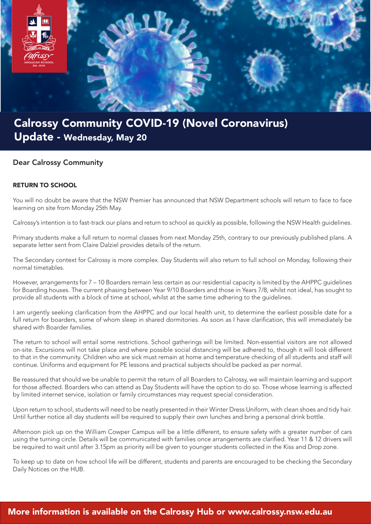

## Calrossy Community COVID-19 (Novel Coronavirus) Update - Wednesday, May 20

## Dear Calrossy Community

## RETURN TO SCHOOL

You will no doubt be aware that the NSW Premier has announced that NSW Department schools will return to face to face learning on site from Monday 25th May.

Calrossy's intention is to fast-track our plans and return to school as quickly as possible, following the NSW Health guidelines.

Primary students make a full return to normal classes from next Monday 25th, contrary to our previously published plans. A separate letter sent from Claire Dalziel provides details of the return.

The Secondary context for Calrossy is more complex. Day Students will also return to full school on Monday, following their normal timetables.

However, arrangements for 7 – 10 Boarders remain less certain as our residential capacity is limited by the AHPPC guidelines for Boarding houses. The current phasing between Year 9/10 Boarders and those in Years 7/8, whilst not ideal, has sought to provide all students with a block of time at school, whilst at the same time adhering to the guidelines.

I am urgently seeking clarification from the AHPPC and our local health unit, to determine the earliest possible date for a full return for boarders, some of whom sleep in shared dormitories. As soon as I have clarification, this will immediately be shared with Boarder families.

The return to school will entail some restrictions. School gatherings will be limited. Non-essential visitors are not allowed on-site. Excursions will not take place and where possible social distancing will be adhered to, though it will look different to that in the community. Children who are sick must remain at home and temperature checking of all students and staff will continue. Uniforms and equipment for PE lessons and practical subjects should be packed as per normal.

Be reassured that should we be unable to permit the return of all Boarders to Calrossy, we will maintain learning and support for those affected. Boarders who can attend as Day Students will have the option to do so. Those whose learning is affected by limited internet service, isolation or family circumstances may request special consideration.

Upon return to school, students will need to be neatly presented in their Winter Dress Uniform, with clean shoes and tidy hair. Until further notice all day students will be required to supply their own lunches and bring a personal drink bottle.

Afternoon pick up on the William Cowper Campus will be a little different, to ensure safety with a greater number of cars using the turning circle. Details will be communicated with families once arrangements are clarified. Year 11 & 12 drivers will be required to wait until after 3.15pm as priority will be given to younger students collected in the Kiss and Drop zone.

To keep up to date on how school life will be different, students and parents are encouraged to be checking the Secondary Daily Notices on the HUB.